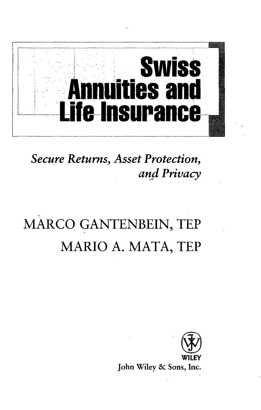

**Secure Returns, Asset Protection,** and Privacy

## MARCO GANTENBEIN, TEP MARIO A. MATA, TEP



John Wiley & Sons, Inc.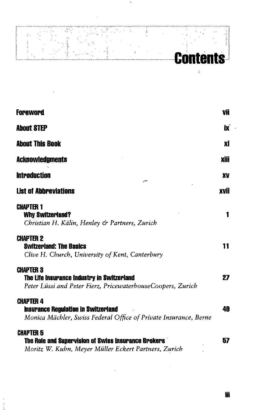

 $\mathbf{p}$ 

 $\mathbf{t}$ 

| Foreword                                                                                                                           | VÜ   |
|------------------------------------------------------------------------------------------------------------------------------------|------|
| <b>About STEP</b>                                                                                                                  | İX   |
| <b>About This Book</b>                                                                                                             | хi   |
| <b>Acknowledgments</b>                                                                                                             | Xiii |
| <b>Introduction</b><br>سر                                                                                                          | XV   |
| <b>List of Abbreviations</b>                                                                                                       | xvii |
| CHAPTER 1<br><b>Why Switzerland?</b><br>Christian H. Kälin, Henley & Partners, Zurich                                              | 1    |
| <b>CHAPTER 2</b><br><b>Switzerland: The Basics</b><br>Clive H. Church, University of Kent, Canterbury                              | 11   |
| <b>CHAPTER 3</b><br>The Life Insurance Industry in Switzerland<br>Peter Lüssi and Peter Fierz, PricewaterhouseCoopers, Zurich      | 27   |
| <b>CHAPTER 4</b><br><b>Insurance Regulation in Switzerland</b><br>Monica Mächler, Swiss Federal Office of Private Insurance, Berne | 49   |
| <b>CHAPTER 5</b><br>The Role and Supervision of Swiss Insurance Brokers<br>Moritz W. Kuhn, Meyer Müller Eckert Partners, Zurich    | 57   |

**Hi**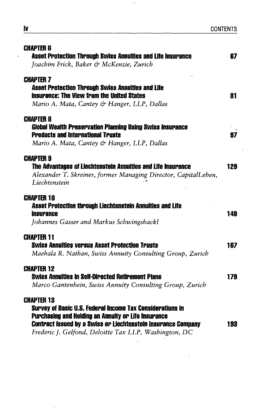| <b>CHAPTER 6</b><br><b>Asset Protection Through Swiss Annuities and Life Insurance</b><br>Joachim Frick, Baker & McKenzie, Zurich                                                                                                                                                    | 87  |
|--------------------------------------------------------------------------------------------------------------------------------------------------------------------------------------------------------------------------------------------------------------------------------------|-----|
| <b>CHAPTER 7</b><br><b>Asset Protection Through Swiss Annuities and Life</b><br><b>Insurance: The View from the United States</b><br>Mario A. Mata, Cantey & Hanger, LLP, Dallas                                                                                                     | 81  |
| <b>CHAPTER 8</b><br><b>Global Wealth Preservation Planning Using Swiss Insurance</b><br><b>Products and International Trusts</b><br>Mario A. Mata, Cantey & Hanger, LLP, Dallas                                                                                                      | 97  |
| <b>CHAPTER 9</b><br>The Advantages of Liechtenstein Annuities and Life Insurance<br>Alexander T. Skreiner, former Managing Director, CapitalLeben,<br>Liechtenstein                                                                                                                  | 129 |
| <b>CHAPTER 10</b><br>Asset Protection through Liechtenstein Annuities and Life<br><b>Insurance</b><br>Johannes Gasser and Markus Schwingshackl                                                                                                                                       | 149 |
| <b>CHAPTER 11</b><br><b>Swiss Annuities versus Asset Protection Trusts</b><br>Maehala R. Nathan, Swiss Annuity Consulting Group, Zurich                                                                                                                                              | 167 |
| <b>CHAPTER 12</b><br><b>Swiss Annuities in Self-Directed Retirement Plans</b><br>Marco Gantenbein, Swiss Annuity Consulting Group, Zurich                                                                                                                                            | 179 |
| <b>CHAPTER 13</b><br><b>Survey of Basic U.S. Federal Income Tax Considerations in</b><br><b>Purchasing and Holding an Annuity or Life Insurance</b><br><b>Contract Issued by a Swiss or Liechtenstein Insurance Company</b><br>Frederic J. Gelfond, Deloitte Tax LLP, Washington, DC | 193 |

 $\mathbf{t}_i$ 

 $\ddot{\phantom{0}}$ 

 $\ddot{\phantom{0}}$